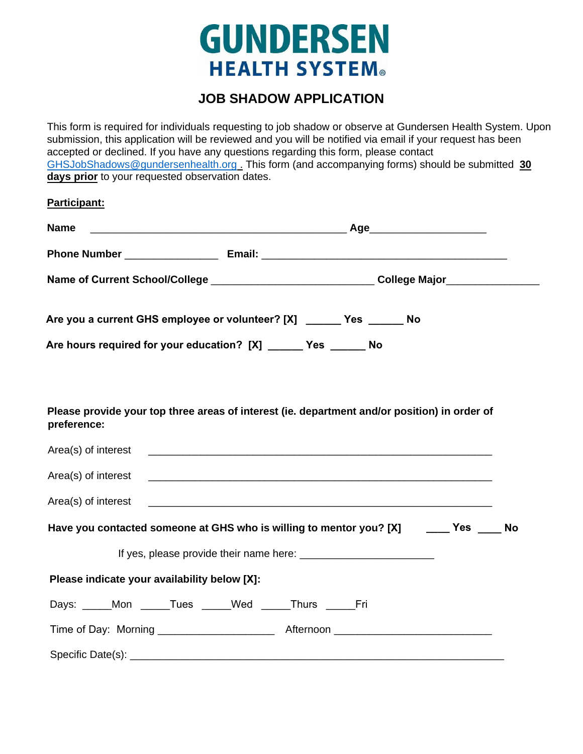## **GUNDERSEN HEALTH SYSTEM®**

## **JOB SHADOW APPLICATION**

This form is required for individuals requesting to job shadow or observe at Gundersen Health System. Upon submission, this application will be reviewed and you will be notified via email if your request has been accepted or declined. If you have any questions regarding this form, please contact [GHSJobShadows@gundersenhealth.org](mailto:GHSJobShadows@gundersenhealth.org) . This form (and accompanying forms) should be submitted **30 days prior** to your requested observation dates.

| Participant:                                                                                                                                                                                                                        |                                                                                                                       |  |  |
|-------------------------------------------------------------------------------------------------------------------------------------------------------------------------------------------------------------------------------------|-----------------------------------------------------------------------------------------------------------------------|--|--|
| Name                                                                                                                                                                                                                                |                                                                                                                       |  |  |
|                                                                                                                                                                                                                                     |                                                                                                                       |  |  |
| Name of Current School/College ________________________________College Major__________________________________                                                                                                                      |                                                                                                                       |  |  |
| Are you a current GHS employee or volunteer? [X] ______ Yes ______ No                                                                                                                                                               |                                                                                                                       |  |  |
| Are hours required for your education? [X] ______ Yes ______ No                                                                                                                                                                     |                                                                                                                       |  |  |
| Please provide your top three areas of interest (ie. department and/or position) in order of<br>preference:                                                                                                                         |                                                                                                                       |  |  |
| Area(s) of interest <b>example 2008</b> and 2008 and 2008 and 2008 and 2008 and 2008 and 2008 and 2008 and 2008 and 2008 and 2008 and 2008 and 2008 and 2008 and 2008 and 2008 and 2008 and 2008 and 2008 and 2008 and 2008 and 200 |                                                                                                                       |  |  |
| Area(s) of interest                                                                                                                                                                                                                 | <u> 1989 - Johann Harry Harry Harry Harry Harry Harry Harry Harry Harry Harry Harry Harry Harry Harry Harry Harry</u> |  |  |
| Area(s) of interest                                                                                                                                                                                                                 |                                                                                                                       |  |  |
| Have you contacted someone at GHS who is willing to mentor you? [X] _______ Yes _____ No                                                                                                                                            |                                                                                                                       |  |  |
|                                                                                                                                                                                                                                     |                                                                                                                       |  |  |
| Please indicate your availability below [X]:                                                                                                                                                                                        |                                                                                                                       |  |  |
| Days: Mon Tues Med Thurs Fri                                                                                                                                                                                                        |                                                                                                                       |  |  |
|                                                                                                                                                                                                                                     |                                                                                                                       |  |  |
|                                                                                                                                                                                                                                     |                                                                                                                       |  |  |